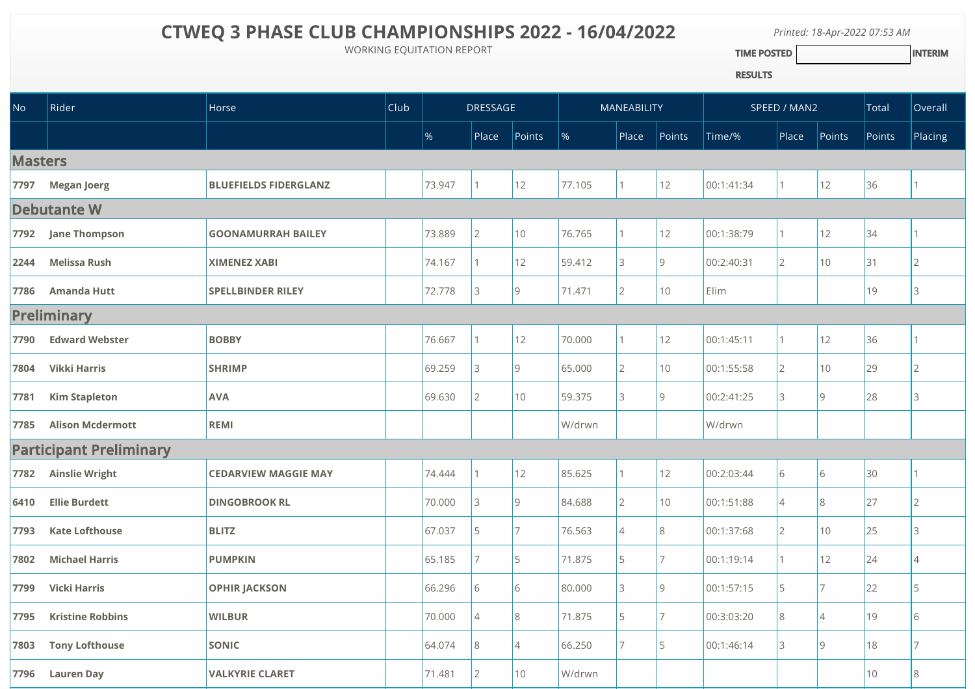## **CTWEQ 3 PHASE CLUB CHAMPIONSHIPS 2022 - 16/04/2022**

WORKING EQUITATION REPORT

*Printed: 18-Apr-2022 07:53 AM* TIME POSTED **INTERIM** 

RESULTS

| <b>No</b>          | Rider                          | Horse                        | <b>Club</b> | <b>DRESSAGE</b> |                |                | MANEABILITY |                |                | SPEED / MAN2 |                |                | Total  | Overall        |
|--------------------|--------------------------------|------------------------------|-------------|-----------------|----------------|----------------|-------------|----------------|----------------|--------------|----------------|----------------|--------|----------------|
|                    |                                |                              |             | $\%$            | $ $ Place      | Points         | $\%$        | Place          | Points         | Time/%       | Place          | Points         | Points | Placing        |
| <b>Masters</b>     |                                |                              |             |                 |                |                |             |                |                |              |                |                |        |                |
| 7797               | <b>Megan Joerg</b>             | <b>BLUEFIELDS FIDERGLANZ</b> |             | 73.947          | 1              | 12             | 77.105      | 1              | 12             | 00:1:41:34   |                | 12             | 36     |                |
| <b>Debutante W</b> |                                |                              |             |                 |                |                |             |                |                |              |                |                |        |                |
| 7792               | <b>Jane Thompson</b>           | <b>GOONAMURRAH BAILEY</b>    |             | 73.889          | $\overline{2}$ | 10             | 76.765      | 1              | 12             | 00:1:38:79   |                | 12             | 34     |                |
| 2244               | <b>Melissa Rush</b>            | <b>XIMENEZ XABI</b>          |             | 74.167          |                | 12             | 59.412      | 3              | $\overline{9}$ | 00:2:40:31   | $\overline{2}$ | 10             | 31     | $\mathcal{P}$  |
| 7786               | <b>Amanda Hutt</b>             | <b>SPELLBINDER RILEY</b>     |             | 72.778          | 3              | $ 9\rangle$    | 71.471      | $\overline{2}$ | 10             | Elim         |                |                | 19     | 3              |
| <b>Preliminary</b> |                                |                              |             |                 |                |                |             |                |                |              |                |                |        |                |
| 7790               | <b>Edward Webster</b>          | <b>BOBBY</b>                 |             | 76.667          |                | 12             | 70.000      | 1              | 12             | 00:1:45:11   |                | 12             | 36     |                |
| 7804               | <b>Vikki Harris</b>            | <b>SHRIMP</b>                |             | 69.259          | 3              | 9              | 65.000      | $\overline{2}$ | 10             | 00:1:55:58   | $\overline{2}$ | 10             | 29     | $\overline{2}$ |
| 7781               | <b>Kim Stapleton</b>           | <b>AVA</b>                   |             | 69.630          | $\overline{2}$ | 10             | 59.375      | 3              | $\overline{9}$ | 00:2:41:25   | 3              | $\overline{9}$ | 28     | 3              |
| 7785               | <b>Alison Mcdermott</b>        | REMI                         |             |                 |                |                | W/drwn      |                |                | W/drwn       |                |                |        |                |
|                    | <b>Participant Preliminary</b> |                              |             |                 |                |                |             |                |                |              |                |                |        |                |
| 7782               | <b>Ainslie Wright</b>          | <b>CEDARVIEW MAGGIE MAY</b>  |             | 74.444          | 1              | 12             | 85.625      | 1              | 12             | 00:2:03:44   | 6              | 6              | 30     |                |
| 6410               | <b>Ellie Burdett</b>           | <b>DINGOBROOK RL</b>         |             | 70.000          | 3              | <u>g</u>       | 84.688      | $\overline{2}$ | 10             | 00:1:51:88   | $\overline{4}$ | 8              | 27     | $\mathcal{P}$  |
| 7793               | <b>Kate Lofthouse</b>          | <b>BLITZ</b>                 |             | 67.037          | 5              | $\overline{7}$ | 76.563      | $\overline{4}$ | 8              | 00:1:37:68   | $\overline{2}$ | 10             | 25     | 3              |
| 7802               | <b>Michael Harris</b>          | <b>PUMPKIN</b>               |             | 65.185          | $\overline{7}$ | I5.            | 71.875      | 5              | 7              | 00:1:19:14   |                | 12             | 24     | $\Delta$       |
| 7799               | <b>Vicki Harris</b>            | <b>OPHIR JACKSON</b>         |             | 66.296          | 6              | 6              | 80.000      | 3              | $\overline{9}$ | 00:1:57:15   | 5              | 7              | 22     | 5              |
| 7795               | <b>Kristine Robbins</b>        | <b>WILBUR</b>                |             | 70.000          | $\overline{4}$ | 8              | 71.875      | 5              | $\overline{7}$ | 00:3:03:20   | 8              | $\Delta$       | 19     | 6              |
| 7803               | <b>Tony Lofthouse</b>          | <b>SONIC</b>                 |             | 64.074          | 8              | $\overline{4}$ | 66.250      | 7              | 5              | 00:1:46:14   | 3              | $\overline{9}$ | 18     |                |
| 7796               | <b>Lauren Day</b>              | <b>VALKYRIE CLARET</b>       |             | 71.481          | $\overline{2}$ | 10             | W/drwn      |                |                |              |                |                | $10$   | 8              |